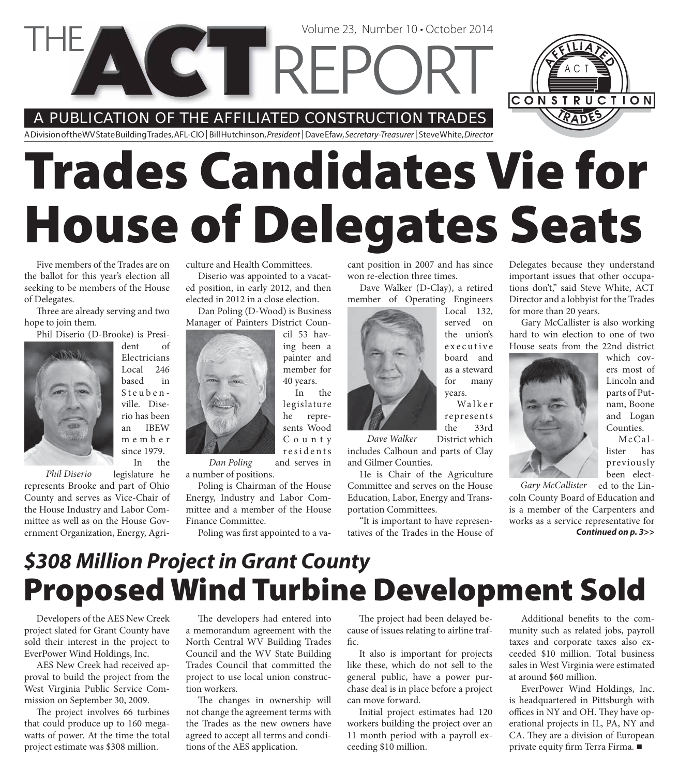A PUBLICATION OF THE AFFILIATED CONSTRUCTION TRADES

A Division of the WV State Building Trades, AFL-CIO | Bill Hutchinson, President | Dave Efaw, Secretary-Treasurer | Steve White, Director

**CETTREPC** 

# **Trades Candidates Vie for House of Delegates Seats**

Five members of the Trades are on the ballot for this year's election all seeking to be members of the House of Delegates.

Three are already serving and two hope to join them.

Phil Diserio (D-Brooke) is Presi-



dent of Electricians Local 246 based in Steubenville. Diserio has been an IBEW m e m b e r since 1979. In the

*Phil Diserio*

legislature he represents Brooke and part of Ohio County and serves as Vice-Chair of the House Industry and Labor Committee as well as on the House Government Organization, Energy, Agriculture and Health Committees.

Diserio was appointed to a vacated position, in early 2012, and then elected in 2012 in a close election.

Dan Poling (D-Wood) is Business Manager of Painters District Coun-

> cil 53 having been a painter and member for 40 years. In the

legislature he represents Wood C o u n t y residents

and serves in a number of positions. *Dan Poling*

Poling is Chairman of the House Energy, Industry and Labor Committee and a member of the House Finance Committee.

Poling was first appointed to a va-

cant position in 2007 and has since won re-election three times.

Volume 23, Number 10 • October 2014

Dave Walker (D-Clay), a retired member of Operating Engineers

> Local 132, served on the union's e x e c u t i v e

for many

the 33rd

Walker

board and as a steward years. represents

District which includes Calhoun and parts of Clay and Gilmer Counties. *Dave Walker*

He is Chair of the Agriculture Committee and serves on the House Education, Labor, Energy and Transportation Committees.

"It is important to have representatives of the Trades in the House of Delegates because they understand important issues that other occupations don't," said Steve White, ACT Director and a lobbyist for the Trades for more than 20 years.

CONSTRUCTION

Gary McCallister is also working hard to win election to one of two House seats from the 22nd district



which covers most of Lincoln and parts of Putnam, Boone and Logan Counties. McCal-

lister has previously been elected to the Lin-*Gary McCallister*

coln County Board of Education and is a member of the Carpenters and works as a service representative for *Continued on p. 3>>*

### **Proposed Wind Turbine Development Sold** *\$308 Million Project in Grant County*

Developers of the AES New Creek project slated for Grant County have sold their interest in the project to EverPower Wind Holdings, Inc.

AES New Creek had received approval to build the project from the West Virginia Public Service Commission on September 30, 2009.

The project involves 66 turbines that could produce up to 160 megawatts of power. At the time the total project estimate was \$308 million.

The developers had entered into a memorandum agreement with the North Central WV Building Trades Council and the WV State Building Trades Council that committed the project to use local union construction workers.

The changes in ownership will not change the agreement terms with the Trades as the new owners have agreed to accept all terms and conditions of the AES application.

The project had been delayed because of issues relating to airline traffic.

It also is important for projects like these, which do not sell to the general public, have a power purchase deal is in place before a project can move forward.

Initial project estimates had 120 workers building the project over an 11 month period with a payroll exceeding \$10 million.

Additional benefits to the community such as related jobs, payroll taxes and corporate taxes also exceeded \$10 million. Total business sales in West Virginia were estimated at around \$60 million.

EverPower Wind Holdings, Inc. is headquartered in Pittsburgh with offices in NY and OH. They have operational projects in IL, PA, NY and CA. They are a division of European private equity firm Terra Firma.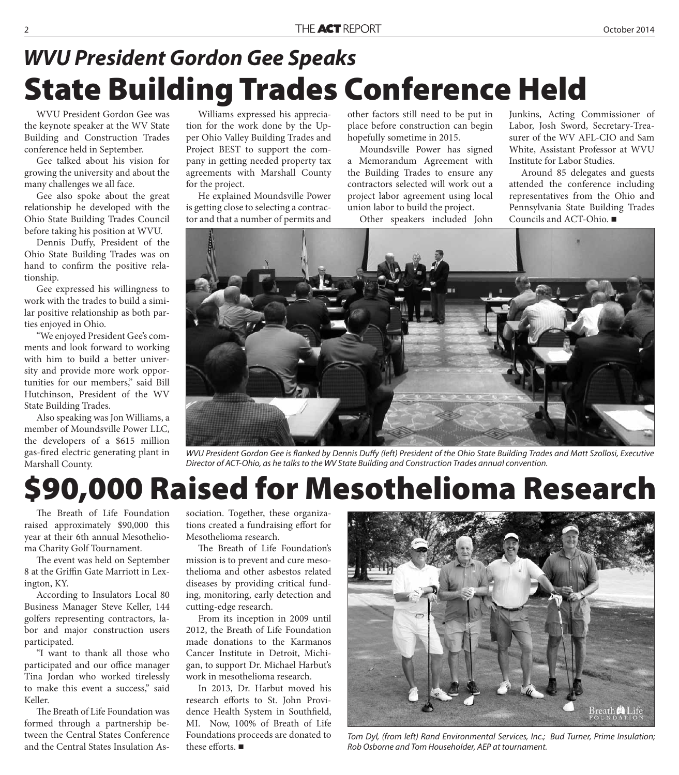### **State Building Trades Conference Held** *WVU President Gordon Gee Speaks*

WVU President Gordon Gee was the keynote speaker at the WV State Building and Construction Trades conference held in September.

Gee talked about his vision for growing the university and about the many challenges we all face.

Gee also spoke about the great relationship he developed with the Ohio State Building Trades Council before taking his position at WVU.

Dennis Duffy, President of the Ohio State Building Trades was on hand to confirm the positive relationship.

Gee expressed his willingness to work with the trades to build a similar positive relationship as both parties enjoyed in Ohio.

"We enjoyed President Gee's comments and look forward to working with him to build a better university and provide more work opportunities for our members," said Bill Hutchinson, President of the WV State Building Trades.

Also speaking was Jon Williams, a member of Moundsville Power LLC, the developers of a \$615 million gas-fi red electric generating plant in Marshall County.

Williams expressed his appreciation for the work done by the Upper Ohio Valley Building Trades and Project BEST to support the company in getting needed property tax agreements with Marshall County for the project.

He explained Moundsville Power is getting close to selecting a contractor and that a number of permits and

other factors still need to be put in place before construction can begin hopefully sometime in 2015.

Moundsville Power has signed a Memorandum Agreement with the Building Trades to ensure any contractors selected will work out a project labor agreement using local union labor to build the project.

Other speakers included John

Junkins, Acting Commissioner of Labor, Josh Sword, Secretary-Treasurer of the WV AFL-CIO and Sam White, Assistant Professor at WVU Institute for Labor Studies.

Around 85 delegates and guests attended the conference including representatives from the Ohio and Pennsylvania State Building Trades Councils and ACT-Ohio.



WVU President Gordon Gee is flanked by Dennis Duffy (left) President of the Ohio State Building Trades and Matt Szollosi, Executive Director of ACT-Ohio, as he talks to the WV State Building and Construction Trades annual convention.

### **\$90,000 Raised for Mesothelioma Research**

The Breath of Life Foundation raised approximately \$90,000 this year at their 6th annual Mesothelioma Charity Golf Tournament.

The event was held on September 8 at the Griffin Gate Marriott in Lexington, KY.

According to Insulators Local 80 Business Manager Steve Keller, 144 golfers representing contractors, labor and major construction users participated.

"I want to thank all those who participated and our office manager Tina Jordan who worked tirelessly to make this event a success," said Keller.

The Breath of Life Foundation was formed through a partnership between the Central States Conference and the Central States Insulation Association. Together, these organizations created a fundraising effort for Mesothelioma research.

The Breath of Life Foundation's mission is to prevent and cure mesothelioma and other asbestos related diseases by providing critical funding, monitoring, early detection and cutting-edge research.

From its inception in 2009 until 2012, the Breath of Life Foundation made donations to the Karmanos Cancer Institute in Detroit, Michigan, to support Dr. Michael Harbut's work in mesothelioma research.

In 2013, Dr. Harbut moved his research efforts to St. John Providence Health System in Southfield, MI. Now, 100% of Breath of Life Foundations proceeds are donated to these efforts.  $\blacksquare$ 



Tom Dyl, (from left) Rand Environmental Services, Inc.; Bud Turner, Prime Insulation; Rob Osborne and Tom Householder, AEP at tournament.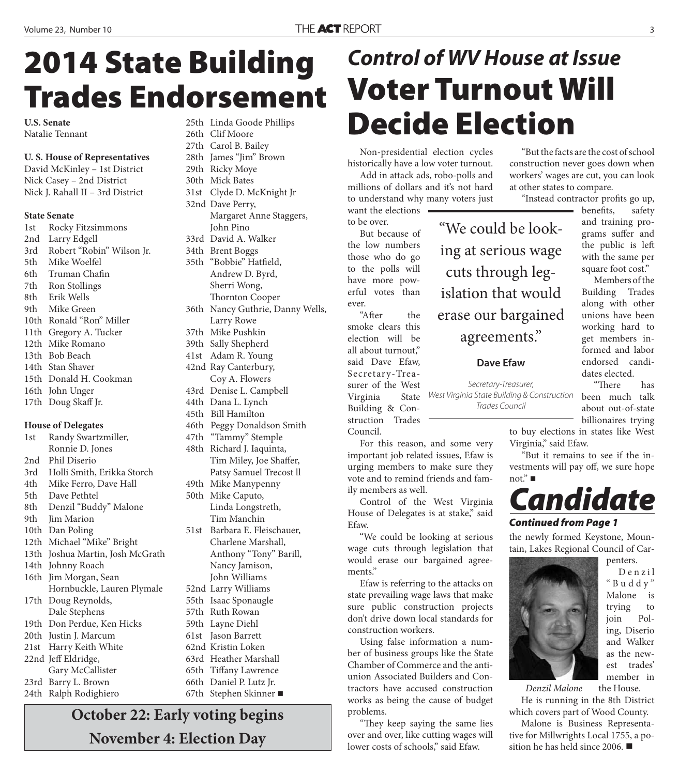## *Control of WV House at Issue*

#### "Instead contractor profits go up,

"We could be look-

West Virginia State Building & Construction Trades Council

"But the facts are the cost of school construction never goes down when workers' wages are cut, you can look at other states to compare.

ing at serious wage cuts through legislation that would erase our bargained agreements."

**Voter Turnout Will** 

**Decide Election**

Non-presidential election cycles historically have a low voter turnout. Add in attack ads, robo-polls and millions of dollars and it's not hard to understand why many voters just

want the elections

But because of the low numbers those who do go to the polls will have more powerful votes than

"After the smoke clears this election will be all about turnout," said Dave Efaw, Secretary-Trea-

struction Trades

Council.

to be over.

ever.

#### **Dave Efaw**

For this reason, and some very important job related issues, Efaw is urging members to make sure they vote and to remind friends and family members as well.

Control of the West Virginia House of Delegates is at stake," said Efaw.

"We could be looking at serious wage cuts through legislation that would erase our bargained agreements."

Efaw is referring to the attacks on state prevailing wage laws that make sure public construction projects don't drive down local standards for construction workers.

Using false information a number of business groups like the State Chamber of Commerce and the antiunion Associated Builders and Contractors have accused construction works as being the cause of budget problems.

"They keep saying the same lies over and over, like cutting wages will lower costs of schools," said Efaw.

benefits, safety

and training programs suffer and the public is left with the same per square foot cost." Members of the

Building Trades along with other unions have been working hard to get members informed and labor endorsed candidates elected.

"There has been much talk about out-of-state billionaires trying

to buy elections in states like West Virginia," said Efaw.

"But it remains to see if the investments will pay off, we sure hope not." ■

### *Candidate*

#### *Continued from Page 1*

the newly formed Keystone, Mountain, Lakes Regional Council of Car-



D e n z i l " B u d d y " Malone is trying to join Poling, Diserio and Walker as the newest trades' member in

penters.

the House. *Denzil Malone*

He is running in the 8th District which covers part of Wood County.

Malone is Business Representative for Millwrights Local 1755, a position he has held since 2006.

**2014 State Building Trades Endorsement**

**U.S. Senate** Natalie Tennant

#### **U. S. House of Representatives**

David McKinley – 1st District Nick Casey – 2nd District Nick J. Rahall II – 3rd District

#### **State Senate**

1st Rocky Fitzsimmons 2nd Larry Edgell 3rd Robert "Robin" Wilson Jr. 5th Mike Woelfel 6th Truman Chafin 7th Ron Stollings 8th Erik Wells 9th Mike Green 10th Ronald "Ron" Miller 11th Gregory A. Tucker 12th Mike Romano 13th Bob Beach 14th Stan Shaver 15th Donald H. Cookman 16th John Unger 17th Doug Skaff Jr.

#### **House of Delegates**

1st Randy Swartzmiller, Ronnie D. Jones 2nd Phil Diserio 3rd Holli Smith, Erikka Storch 4th Mike Ferro, Dave Hall 5th Dave Pethtel 8th Denzil "Buddy" Malone 9th Jim Marion 10th Dan Poling 12th Michael "Mike" Bright 13th Joshua Martin, Josh McGrath 14th Johnny Roach 16th Jim Morgan, Sean Hornbuckle, Lauren Plymale 17th Doug Reynolds, Dale Stephens 19th Don Perdue, Ken Hicks 20th Justin J. Marcum 21st Harry Keith White 22nd Jeff Eldridge, Gary McCallister 23rd Barry L. Brown 24th Ralph Rodighiero

26th Clif Moore 27th Carol B. Bailey 28th James "Jim" Brown 29th Ricky Moye 30th Mick Bates 31st Clyde D. McKnight Jr 32nd Dave Perry, Margaret Anne Staggers, John Pino 33rd David A. Walker 34th Brent Boggs 35th "Bobbie" Hatfield, Andrew D. Byrd, Sherri Wong, Thornton Cooper 36th Nancy Guthrie, Danny Wells, Larry Rowe 37th Mike Pushkin 39th Sally Shepherd 41st Adam R. Young 42nd Ray Canterbury, Coy A. Flowers 43rd Denise L. Campbell 44th Dana L. Lynch 45th Bill Hamilton 46th Peggy Donaldson Smith 47th "Tammy" Stemple 48th Richard J. Iaquinta, Tim Miley, Joe Shaffer, Patsy Samuel Trecost ll 49th Mike Manypenny 50th Mike Caputo, Linda Longstreth, Tim Manchin 51st Barbara E. Fleischauer, Charlene Marshall, Anthony "Tony" Barill, Nancy Jamison, John Williams 52nd Larry Williams 55th Isaac Sponaugle 57th Ruth Rowan 59th Layne Diehl 61st Jason Barrett 62nd Kristin Loken 63rd Heather Marshall 65th Tiffany Lawrence 66th Daniel P. Lutz Jr.

25th Linda Goode Phillips

**October 22: Early voting begins November 4: Election Day**

67th Stephen Skinner

surer of the West Virginia State Building & Con-Secretary-Treasurer,